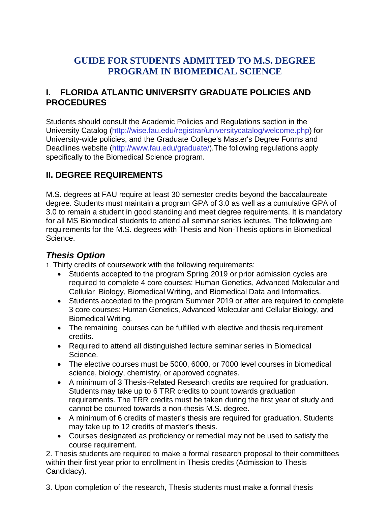# **GUIDE FOR STUDENTS ADMITTED TO M.S. DEGREE PROGRAM IN BIOMEDICAL SCIENCE**

### **I. FLORIDA ATLANTIC UNIVERSITY GRADUATE POLICIES AND PROCEDURES**

Students should consult the Academic Policies and Regulations section in the University Catalog [\(http://wise.fau.edu/registrar/universitycatalog/welcome.php\)](http://wise.fau.edu/registrar/universitycatalog/welcome.php)) for University-wide policies, and the Graduate College's Master's Degree Forms and Deadlines website [\(http://www.fau.edu/graduate/\).The](http://www.fau.edu/graduate/).The) following regulations apply specifically to the Biomedical Science program.

## **II. DEGREE REQUIREMENTS**

M.S. degrees at FAU require at least 30 semester credits beyond the baccalaureate degree. Students must maintain a program GPA of 3.0 as well as a cumulative GPA of 3.0 to remain a student in good standing and meet degree requirements. It is mandatory for all MS Biomedical students to attend all seminar series lectures. The following are requirements for the M.S. degrees with Thesis and Non-Thesis options in Biomedical Science.

### *Thesis Option*

1. Thirty credits of coursework with the following requirements:

- Students accepted to the program Spring 2019 or prior admission cycles are required to complete 4 core courses: Human Genetics, Advanced Molecular and Cellular Biology, Biomedical Writing, and Biomedical Data and Informatics.
- Students accepted to the program Summer 2019 or after are required to complete 3 core courses: Human Genetics, Advanced Molecular and Cellular Biology, and Biomedical Writing.
- The remaining courses can be fulfilled with elective and thesis requirement credits.
- Required to attend all distinguished lecture seminar series in Biomedical Science.
- The elective courses must be 5000, 6000, or 7000 level courses in biomedical science, biology, chemistry, or approved cognates.
- A minimum of 3 Thesis-Related Research credits are required for graduation. Students may take up to 6 TRR credits to count towards graduation requirements. The TRR credits must be taken during the first year of study and cannot be counted towards a non-thesis M.S. degree.
- A minimum of 6 credits of master's thesis are required for graduation. Students may take up to 12 credits of master's thesis.
- Courses designated as proficiency or remedial may not be used to satisfy the course requirement.

2. Thesis students are required to make a formal research proposal to their committees within their first year prior to enrollment in Thesis credits (Admission to Thesis Candidacy).

3. Upon completion of the research, Thesis students must make a formal thesis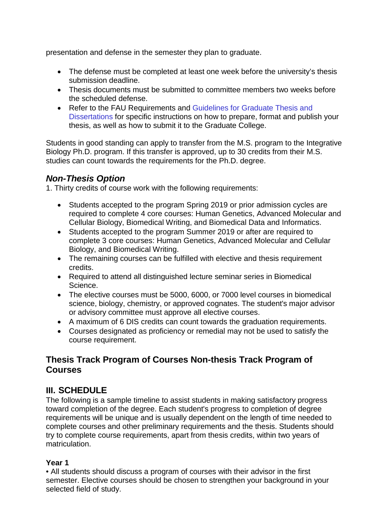presentation and defense in the semester they plan to graduate.

- The defense must be completed at least one week before the university's thesis submission deadline.
- Thesis documents must be submitted to committee members two weeks before the scheduled defense.
- Refer to the FAU Requirements and Guidelines for Graduate Thesis and Dissertations for specific instructions on how to prepare, format and publish your thesis, as well as how to submit it to the Graduate College.

Students in good standing can apply to transfer from the M.S. program to the Integrative Biology Ph.D. program. If this transfer is approved, up to 30 credits from their M.S. studies can count towards the requirements for the Ph.D. degree.

### *Non-Thesis Option*

1. Thirty credits of course work with the following requirements:

- Students accepted to the program Spring 2019 or prior admission cycles are required to complete 4 core courses: Human Genetics, Advanced Molecular and Cellular Biology, Biomedical Writing, and Biomedical Data and Informatics.
- Students accepted to the program Summer 2019 or after are required to complete 3 core courses: Human Genetics, Advanced Molecular and Cellular Biology, and Biomedical Writing.
- The remaining courses can be fulfilled with elective and thesis requirement credits.
- Required to attend all distinguished lecture seminar series in Biomedical Science.
- The elective courses must be 5000, 6000, or 7000 level courses in biomedical science, biology, chemistry, or approved cognates. The student's major advisor or advisory committee must approve all elective courses.
- A maximum of 6 DIS credits can count towards the graduation requirements.
- Courses designated as proficiency or remedial may not be used to satisfy the course requirement.

## **Thesis Track Program of Courses Non-thesis Track Program of Courses**

## **III. SCHEDULE**

The following is a sample timeline to assist students in making satisfactory progress toward completion of the degree. Each student's progress to completion of degree requirements will be unique and is usually dependent on the length of time needed to complete courses and other preliminary requirements and the thesis. Students should try to complete course requirements, apart from thesis credits, within two years of matriculation.

#### **Year 1**

• All students should discuss a program of courses with their advisor in the first semester. Elective courses should be chosen to strengthen your background in your selected field of study.